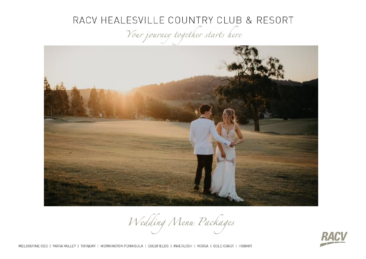Your journey together starts here



Wedding Menu Packages



MELBOURNE CBD | YARRA VALLEY | TORQUAY | MORNINGTON PENINSULA | GOLDFIELDS | INVERLOCH | NOOSA | GOLD COAST | HOBART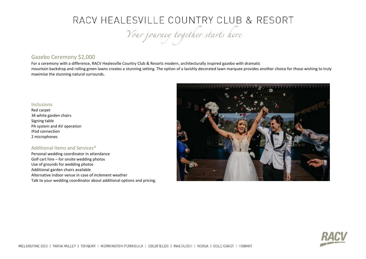Your journey together starts here

### Gazebo Ceremony \$2,000

For a ceremony with a difference, RACV Healesville Country Club & Resorts modern, architecturally inspired gazebo with dramatic mountain backdrop and rolling green lawns creates a stunning setting. The option of a lavishly decorated lawn marquee provides another choice for those wishing to truly maximise the stunning natural surrounds.

#### Inclusions

Red carpet 34 white garden chairs Signing table PA system and AV operation iPod connection 2 microphones

#### Additional Items and Services\*

Personal wedding coordinator in attendance Golf cart hire – for onsite wedding photos Use of grounds for wedding photos Additional garden chairs available Alternative indoor venue in case of inclement weather Talk to your wedding coordinator about additional options and pricing.



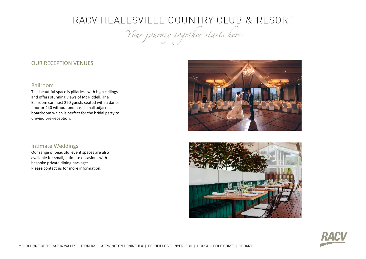Your journey together starts here

### OUR RECEPTION VENUES

#### Ballroom

This beautiful space is pillarless with high ceilings and offers stunning views of Mt Riddell. The Ballroom can host 220 guests seated with a dance floor or 240 without and has a small adjacent boardroom which is perfect for the bridal party to unwind pre-reception.



### Intimate Weddings

Our range of beautiful event spaces are also available for small, intimate occasions with bespoke private dining packages. Please contact us for more information.



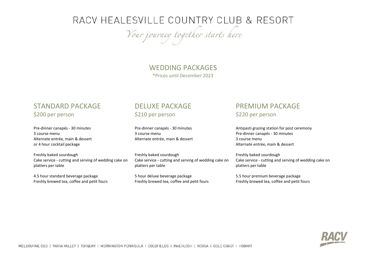Your journey together starts here

### WEDDING PACKAGES \*Prices until December 2023

### STANDARD PACKAGE \$200 per person

Pre-dinner canapés - 30 minutes 3 course menu Alternate entrée, main & dessert or 4 hour cocktail package

Freshly baked sourdough Cake service - cutting and serving of wedding cake on platters per table

4.5 hour standard beverage package Freshly brewed tea, coffee and petit fours

### DELUXE PACKAGE \$210 per person

Pre-dinner canapés - 30 minutes 3 course menu Alternate entrée, main & dessert

Freshly baked sourdough Cake service - cutting and serving of wedding cake on platters per table

5 hour deluxe beverage package Freshly brewed tea, coffee and petit fours

## PREMIUM PACKAGE

\$220 per person

Antipasti grazing station for post ceremony Pre-dinner canapés - 30 minutes 3 course menu Alternate entrée, main & dessert

Freshly baked sourdough Cake service - cutting and serving of wedding cake on platters per table

5.5 hour premium beverage package Freshly brewed tea, coffee and petit fours

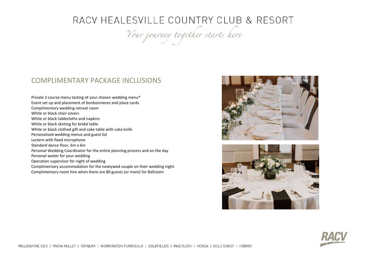Your journey together starts here

### COMPLIMENTARY PACKAGE INCLUSIONS

Private 3 course menu tasting of your chosen wedding menu\* Event set up and placement of bonbonnieres and place cards Complimentary wedding retreat room White or black chair covers White or black tablecloths and napkins White or black skirting for bridal table White or black clothed gift and cake table with cake knife Personalised wedding menus and guest list Lectern with fixed microphone Standard dance floor, 6m x 6m Personal Wedding Coordinator for the entire planning process and on the day Personal waiter for your wedding Operation supervisor for night of wedding Complimentary accommodation for the newlywed couple on their wedding night Complimentary room hire when there are 80 guests (or more) for Ballroom





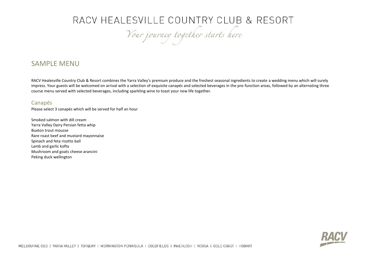Your journey together starts here

### SAMPLE MENU

RACV Healesville Country Club & Resort combines the Yarra Valley's premium produce and the freshest seasonal ingredients to create a wedding menu which will surely impress. Your guests will be welcomed on arrival with a selection of exquisite canapés and selected beverages in the pre-function areas, followed by an alternating three course menu served with selected beverages, including sparkling wine to toast your new life together.

### Canapés

Please select 3 canapés which will be served for half an hour

Smoked salmon with dill cream Yarra Valley Dairy Persian fetta whip Buxton trout mousse Rare roast beef and mustard mayonnaise Spinach and feta risotto ball Lamb and garlic kofta Mushroom and goats cheese arancini Peking duck wellington

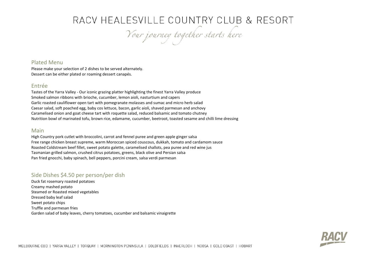Your journey together starts here

### Plated Menu

Please make your selection of 2 dishes to be served alternately. Dessert can be either plated or roaming dessert canapés.

### Entrée

Tastes of the Yarra Valley - Our iconic grazing platter highlighting the finest Yarra Valley produce Smoked salmon ribbons with brioche, cucumber, lemon aioli, nasturtium and capers Garlic roasted cauliflower open tart with pomegranate molasses and sumac and micro herb salad Caesar salad, soft poached egg, baby cos lettuce, bacon, garlic aioli, shaved parmesan and anchovy Caramelised onion and goat cheese tart with roquette salad, reduced balsamic and tomato chutney Nutrition bowl of marinated tofu, brown rice, edamame, cucumber, beetroot, toasted sesame and chilli lime dressing

#### Main

High Country pork cutlet with broccolini, carrot and fennel puree and green apple ginger salsa Free range chicken breast supreme, warm Moroccan spiced couscous, dukkah, tomato and cardamom sauce Roasted Coldstream beef fillet, sweet potato galette, caramelised shallots, pea puree and red wine jus Tasmanian grilled salmon, crushed citrus potatoes, greens, black olive and Persian salsa Pan fried gnocchi, baby spinach, bell peppers, porcini cream, salsa verdi parmesan

### Side Dishes \$4.50 per person/per dish

Duck fat rosemary roasted potatoes Creamy mashed potato Steamed or Roasted mixed vegetables Dressed baby leaf salad Sweet potato chips Truffle and parmesan fries Garden salad of baby leaves, cherry tomatoes, cucumber and balsamic vinaigrette

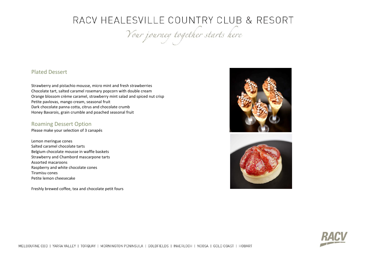Your journey together starts here

### Plated Dessert

Strawberry and pistachio mousse, micro mint and fresh strawberries Chocolate tart, salted caramel rosemary popcorn with double cream Orange blossom crème caramel, strawberry mint salad and spiced nut crisp Petite pavlovas, mango cream, seasonal fruit Dark chocolate panna cotta, citrus and chocolate crumb Honey Bavarois, grain crumble and poached seasonal fruit

### Roaming Dessert Option

Please make your selection of 3 canapés

Lemon meringue cones Salted caramel chocolate tarts Belgium chocolate mousse in waffle baskets Strawberry and Chambord mascarpone tarts Assorted macaroons Raspberry and white chocolate cones Tiramisu cones Petite lemon cheesecake

Freshly brewed coffee, tea and chocolate petit fours





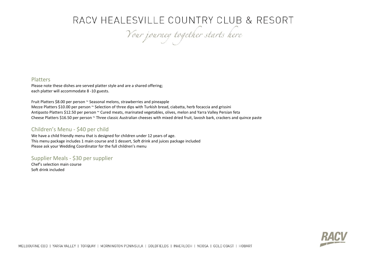Your journey together starts here

### **Platters**

Please note these dishes are served platter style and are a shared offering; each platter will accommodate 8 -10 guests.

Fruit Platters \$8.00 per person ~ Seasonal melons, strawberries and pineapple Mezze Platters \$10.00 per person ~ Selection of three dips with Turkish bread, ciabatta, herb focaccia and grissini Antipasto Platters \$12.50 per person ~ Cured meats, marinated vegetables, olives, melon and Yarra Valley Persian feta Cheese Platters \$16.50 per person ~ Three classic Australian cheeses with mixed dried fruit, lavosh bark, crackers and quince paste

### Children's Menu - \$40 per child

We have a child friendly menu that is designed for children under 12 years of age. This menu package includes 1 main course and 1 dessert, Soft drink and juices package included Please ask your Wedding Coordinator for the full children's menu

Supplier Meals - \$30 per supplier

Chef's selection main course Soft drink included

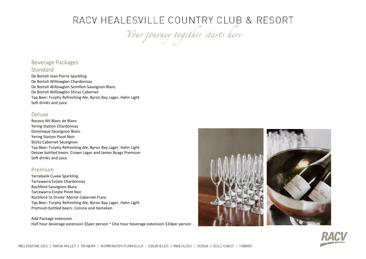Your journey together starts here

### Beverage Packages

### **Standard**

De Bortoli Jean Pierre Sparkling De Bortoli Willowglen Chardonnay De Bortoli Willowglen Semillon Sauvignon Blanc De Bortoli Willowglen Shiraz Cabernet Tap Beer: Furphy Refreshing Ale, Byron Bay Lager, Hahn Light Soft drinks and juice

### Deluxe

Rococo NV Blanc de Blanc Yering Station Chardonnay Dominique Sauvignon Blanc Yering Station Pinot Noir Sticks Cabernet Sauvignon Tap Beer: Furphy Refreshing Ale, Byron Bay Lager, Hahn Light Deluxe bottled beers: Crown Lager and James Boags Premium Soft drinks and juice

### Premium

Yarrabank Cuvee Sparkling Tarrawarra Estate Chardonnay Rochford Sauvignon Blanc Tarrawarra Estate Pinot Noir Rochford 'la Droite' Merlot Cabernet Franc Tap Beer: Furphy Refreshing Ale, Byron Bay Lager, Hahn Light Premium bottled beers: Corona and Heineken

Add Package extension Half hour beverage extension \$5per person ~ One hour beverage extension \$10per person



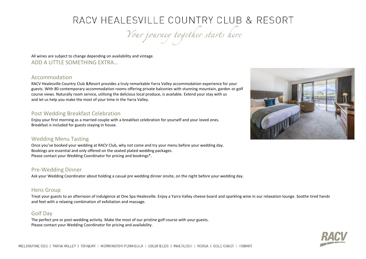Your journey together starts here

All wines are subject to change depending on availability and vintage. ADD A LITTLE SOMETHING EXTRA…

### Accommodation

RACV Healesville Country Club &Resort provides a truly remarkable Yarra Valley accommodation experience for your guests. With 80 contemporary accommodation rooms offering private balconies with stunning mountain, garden or golf course views. Naturally room service, utilising the delicious local produce, is available. Extend your stay with us and let us help you make the most of your time in the Yarra Valley.

### Post Wedding Breakfast Celebration

Enjoy your first morning as a married couple with a breakfast celebration for yourself and your loved ones. Breakfast is included for guests staying in house.

### Wedding Menu Tasting

Once you've booked your wedding at RACV Club, why not come and try your menu before your wedding day. Bookings are essential and only offered on the seated plated wedding packages. Please contact your Wedding Coordinator for pricing and bookings\*.

### Pre-Wedding Dinner

Ask your Wedding Coordinator about holding a casual pre wedding dinner onsite, on the night before your wedding day.

### Hens Group

Treat your guests to an afternoon of indulgence at One Spa Healesville. Enjoy a Yarra Valley cheese board and sparkling wine in our relaxation lounge. Soothe tired hands and feet with a relaxing combination of exfoliation and massage.

### Golf Day

The perfect pre or post-wedding activity. Make the most of our pristine golf course with your guests. Please contact your Wedding Coordinator for pricing and availability.